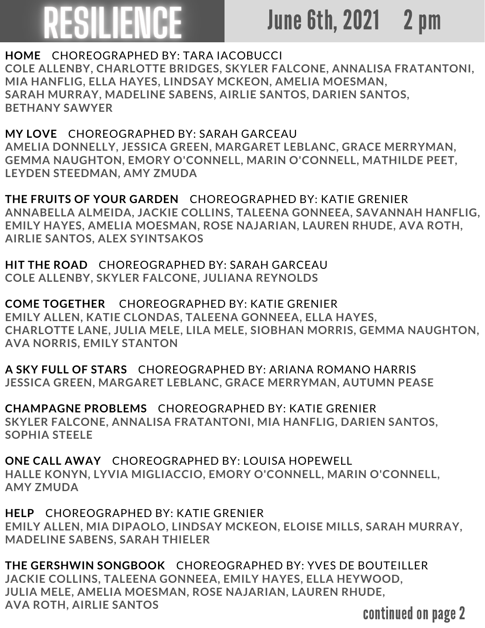## ESILIENCE

## June 6th, 2021 2 pm

**HOME** CHOREOGRAPHED BY: TARA IACOBUCCI **COLE ALLENBY, CHARLOTTE BRIDGES, SKYLER FALCONE, ANNALISA FRATANTONI, MIA HANFLIG, ELLA HAYES, LINDSAY MCKEON, AMELIA MOESMAN, SARAH MURRAY, MADELINE SABENS, AIRLIE SANTOS, DARIEN SANTOS, BETHANY SAWYER**

**MY LOVE** CHOREOGRAPHED BY: SARAH GARCEAU **AMELIA DONNELLY, JESSICA GREEN, MARGARET LEBLANC, GRACE MERRYMAN, GEMMA NAUGHTON, EMORY O'CONNELL, MARIN O'CONNELL, MATHILDE PEET, LEYDEN STEEDMAN, AMY ZMUDA**

**THE FRUITS OF YOUR GARDEN** CHOREOGRAPHED BY: KATIE GRENIER **ANNABELLA ALMEIDA, JACKIE COLLINS, TALEENA GONNEEA, SAVANNAH HANFLIG, EMILY HAYES, AMELIA MOESMAN, ROSE NAJARIAN, LAUREN RHUDE, AVA ROTH, AIRLIE SANTOS, ALEX SYINTSAKOS**

**HIT THE ROAD** CHOREOGRAPHED BY: SARAH GARCEAU **COLE ALLENBY, SKYLER FALCONE, JULIANA REYNOLDS**

**COME TOGETHER** CHOREOGRAPHED BY: KATIE GRENIER **EMILY ALLEN, KATIE CLONDAS, TALEENA GONNEEA, ELLA HAYES, CHARLOTTE LANE, JULIA MELE, LILA MELE, SIOBHAN MORRIS, GEMMA NAUGHTON, AVA NORRIS, EMILY STANTON**

**A SKY FULL OF STARS** CHOREOGRAPHED BY: ARIANA ROMANO HARRIS **JESSICA GREEN, MARGARET LEBLANC, GRACE MERRYMAN, AUTUMN PEASE**

**CHAMPAGNE PROBLEMS** CHOREOGRAPHED BY: KATIE GRENIER **SKYLER FALCONE, ANNALISA FRATANTONI, MIA HANFLIG, DARIEN SANTOS, SOPHIA STEELE**

**ONE CALL AWAY** CHOREOGRAPHED BY: LOUISA HOPEWELL **HALLE KONYN, LYVIA MIGLIACCIO, EMORY O'CONNELL, MARIN O'CONNELL, AMY ZMUDA**

**HELP** CHOREOGRAPHED BY: KATIE GRENIER **EMILY ALLEN, MIA DIPAOLO, LINDSAY MCKEON, ELOISE MILLS, SARAH MURRAY, MADELINE SABENS, SARAH THIELER**

**THE GERSHWIN SONGBOOK** CHOREOGRAPHED BY: YVES DE BOUTEILLER **JACKIE COLLINS, TALEENA GONNEEA, EMILY HAYES, ELLA HEYWOOD, JULIA MELE, AMELIA MOESMAN, ROSE NAJARIAN, LAUREN RHUDE, AVA ROTH, AIRLIE SANTOS**

continued on page 2